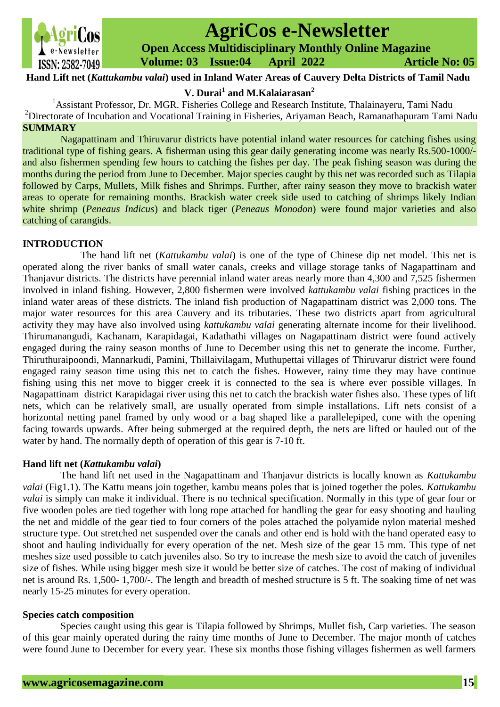

# **AgriCos e-Newsletter**

 **Open Access Multidisciplinary Monthly Online Magazine**

 **Volume: 03 Issue:04 April 2022 Article No: 05**

**Hand Lift net (***Kattukambu valai***) used in Inland Water Areas of Cauvery Delta Districts of Tamil Nadu**

**V. Durai<sup>1</sup> and M.Kalaiarasan<sup>2</sup>**

<sup>1</sup> Assistant Professor, Dr. MGR. Fisheries College and Research Institute, Thalainayeru, Tami Nadu <sup>2</sup>Directorate of Incubation and Vocational Training in Fisheries, Ariyaman Beach, Ramanathapuram Tami Nadu **SUMMARY**

Nagapattinam and Thiruvarur districts have potential inland water resources for catching fishes using traditional type of fishing gears. A fisherman using this gear daily generating income was nearly Rs.500-1000/ and also fishermen spending few hours to catching the fishes per day. The peak fishing season was during the months during the period from June to December. Major species caught by this net was recorded such as Tilapia followed by Carps, Mullets, Milk fishes and Shrimps. Further, after rainy season they move to brackish water areas to operate for remaining months. Brackish water creek side used to catching of shrimps likely Indian white shrimp (*Peneaus Indicus*) and black tiger (*Peneaus Monodon*) were found major varieties and also catching of carangids.

## **INTRODUCTION**

 The hand lift net (*Kattukambu valai*) is one of the type of Chinese dip net model. This net is operated along the river banks of small water canals, creeks and village storage tanks of Nagapattinam and Thanjavur districts. The districts have perennial inland water areas nearly more than 4,300 and 7,525 fishermen involved in inland fishing. However, 2,800 fishermen were involved *kattukambu valai* fishing practices in the inland water areas of these districts. The inland fish production of Nagapattinam district was 2,000 tons. The major water resources for this area Cauvery and its tributaries. These two districts apart from agricultural activity they may have also involved using *kattukambu valai* generating alternate income for their livelihood. Thirumanangudi, Kachanam, Karapidagai, Kadathathi villages on Nagapattinam district were found actively engaged during the rainy season months of June to December using this net to generate the income. Further, Thiruthuraipoondi, Mannarkudi, Pamini, Thillaivilagam, Muthupettai villages of Thiruvarur district were found engaged rainy season time using this net to catch the fishes. However, rainy time they may have continue fishing using this net move to bigger creek it is connected to the sea is where ever possible villages. In Nagapattinam district Karapidagai river using this net to catch the brackish water fishes also. These types of [lift](https://www.fao.org/fishery/en/geartype/search?q=name:lift%20nets)  [nets,](https://www.fao.org/fishery/en/geartype/search?q=name:lift%20nets) which can be relatively small, are usually operated from simple installations. Lift nets consist of a horizontal netting panel framed by only wood or a bag shaped like a parallelepiped, cone with the opening facing towards upwards. After being submerged at the required depth, the nets are lifted or hauled out of the water by hand. The normally depth of operation of this gear is 7-10 ft.

## **Hand lift net (***Kattukambu valai***)**

 The hand lift net used in the Nagapattinam and Thanjavur districts is locally known as *Kattukambu valai* (Fig1.1). The Kattu means join together, kambu means poles that is joined together the poles. *Kattukambu valai* is simply can make it individual. There is no technical specification. Normally in this type of gear four or five wooden poles are tied together with long rope attached for handling the gear for easy shooting and hauling the net and middle of the gear tied to four corners of the poles attached the polyamide nylon material meshed structure type. Out stretched net suspended over the canals and other end is hold with the hand operated easy to shoot and hauling individually for every operation of the net. Mesh size of the gear 15 mm. This type of net meshes size used possible to catch juveniles also. So try to increase the mesh size to avoid the catch of juveniles size of fishes. While using bigger mesh size it would be better size of catches. The cost of making of individual net is around Rs. 1,500- 1,700/-. The length and breadth of meshed structure is 5 ft. The soaking time of net was nearly 15-25 minutes for every operation.

#### **Species catch composition**

 Species caught using this gear is Tilapia followed by Shrimps, Mullet fish, Carp varieties. The season of this gear mainly operated during the rainy time months of June to December. The major month of catches were found June to December for every year. These six months those fishing villages fishermen as well farmers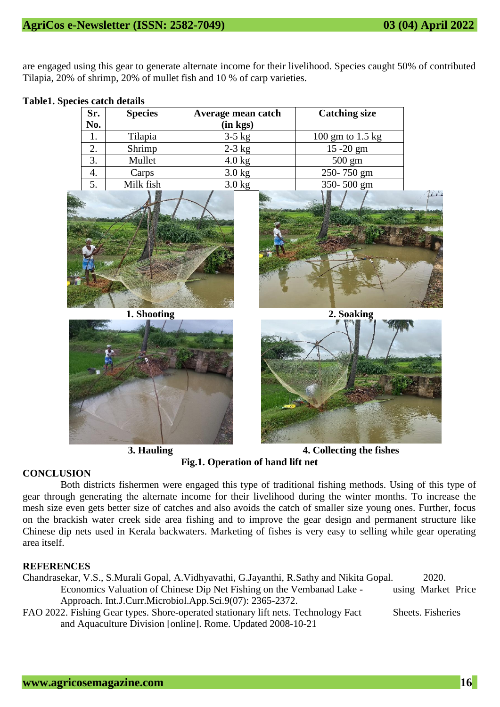are engaged using this gear to generate alternate income for their livelihood. Species caught 50% of contributed Tilapia, 20% of shrimp, 20% of mullet fish and 10 % of carp varieties.

**Table1. Species catch details** 

| Sr. | <b>Species</b> | Average mean catch | <b>Catching size</b> |  |
|-----|----------------|--------------------|----------------------|--|
| No. |                | (in kgs)           |                      |  |
| 1.  | Tilapia        | $3-5$ kg           | 100 gm to $1.5$ kg   |  |
| 2.  | Shrimp         | $2-3$ kg           | $15 - 20$ gm         |  |
| 3.  | Mullet         | $4.0$ kg           | $500 \text{ gm}$     |  |
| 4.  | Carps          | $3.0$ kg           | 250-750 gm           |  |
| 5.  | Milk fish      | $3.0$ kg           | 350-500 gm           |  |



**1. Shooting 2. Soaking**





**3. Hauling 4. Collecting the fishes Fig.1. Operation of hand lift net**

## **CONCLUSION**

Both districts fishermen were engaged this type of traditional fishing methods. Using of this type of gear through generating the alternate income for their livelihood during the winter months. To increase the mesh size even gets better size of catches and also avoids the catch of smaller size young ones. Further, focus on the brackish water creek side area fishing and to improve the gear design and permanent structure like Chinese dip nets used in Kerala backwaters. Marketing of fishes is very easy to selling while gear operating area itself.

## **REFERENCES**

| Chandrasekar, V.S., S.Murali Gopal, A.Vidhyavathi, G.Jayanthi, R.Sathy and Nikita Gopal. | 2020.              |  |
|------------------------------------------------------------------------------------------|--------------------|--|
| Economics Valuation of Chinese Dip Net Fishing on the Vembanad Lake -                    | using Market Price |  |
| Approach. Int.J.Curr.Microbiol.App.Sci.9(07): 2365-2372.                                 |                    |  |

FAO 2022. Fishing Gear types. Shore-operated stationary lift nets. Technology Fact Sheets. Fisheries and Aquaculture Division [online]. Rome. Updated 2008-10-21